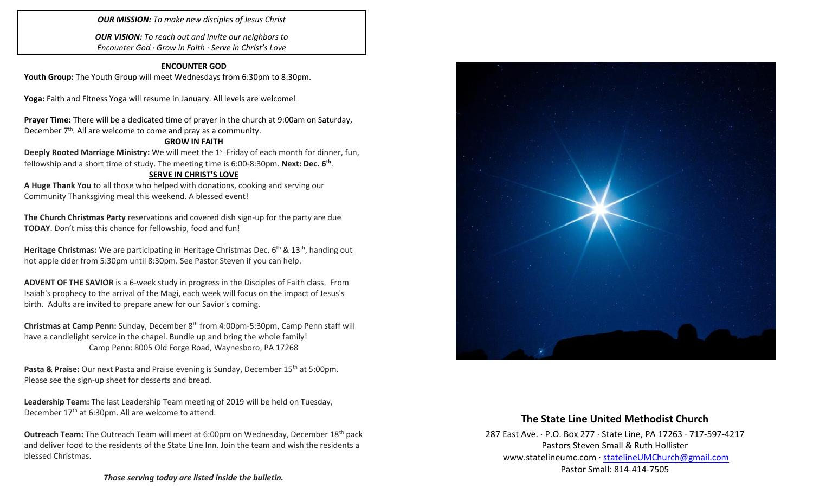#### *OUR MISSION: To make new disciples of Jesus Christ*

*OUR VISION: To reach out and invite our neighbors to Encounter God · Grow in Faith · Serve in Christ's Love*

#### **ENCOUNTER GOD**

Youth Group: The Youth Group will meet Wednesdays from 6:30pm to 8:30pm.

**Yoga:** Faith and Fitness Yoga will resume in January. All levels are welcome!

**Prayer Time:** There will be a dedicated time of prayer in the church at 9:00am on Saturday, December  $7<sup>th</sup>$ . All are welcome to come and pray as a community.

### **GROW IN FAITH**

**Deeply Rooted Marriage Ministry:** We will meet the 1<sup>st</sup> Friday of each month for dinner, fun, fellowship and a short time of study. The meeting time is 6:00-8:30pm. **Next: Dec. 6th** .

#### **SERVE IN CHRIST'S LOVE**

**A Huge Thank You** to all those who helped with donations, cooking and serving our Community Thanksgiving meal this weekend. A blessed event!

**The Church Christmas Party** reservations and covered dish sign-up for the party are due **TODAY**. Don't miss this chance for fellowship, food and fun!

Heritage Christmas: We are participating in Heritage Christmas Dec. 6<sup>th</sup> & 13<sup>th</sup>, handing out hot apple cider from 5:30pm until 8:30pm. See Pastor Steven if you can help.

**ADVENT OF THE SAVIOR** is a 6-week study in progress in the Disciples of Faith class. From Isaiah's prophecy to the arrival of the Magi, each week will focus on the impact of Jesus's birth. Adults are invited to prepare anew for our Savior's coming.

**Christmas at Camp Penn:** Sunday, December 8th from 4:00pm-5:30pm, Camp Penn staff will have a candlelight service in the chapel. Bundle up and bring the whole family! Camp Penn: 8005 Old Forge Road, Waynesboro, PA 17268

Pasta & Praise: Our next Pasta and Praise evening is Sunday, December 15<sup>th</sup> at 5:00pm. Please see the sign-up sheet for desserts and bread.

**Leadership Team:** The last Leadership Team meeting of 2019 will be held on Tuesday, December 17<sup>th</sup> at 6:30pm. All are welcome to attend.

**Outreach Team:** The Outreach Team will meet at 6:00pm on Wednesday, December 18th pack and deliver food to the residents of the State Line Inn. Join the team and wish the residents a blessed Christmas.



## **The State Line United Methodist Church**

287 East Ave. · P.O. Box 277 · State Line, PA 17263 · 717-597-4217 Pastors Steven Small & Ruth Hollister [www.statelineumc.com](http://www.statelineumc.com/) · [statelineUMChurch@gmail.com](mailto:statelineUMChurch@gmail.com) Pastor Small: 814-414-7505